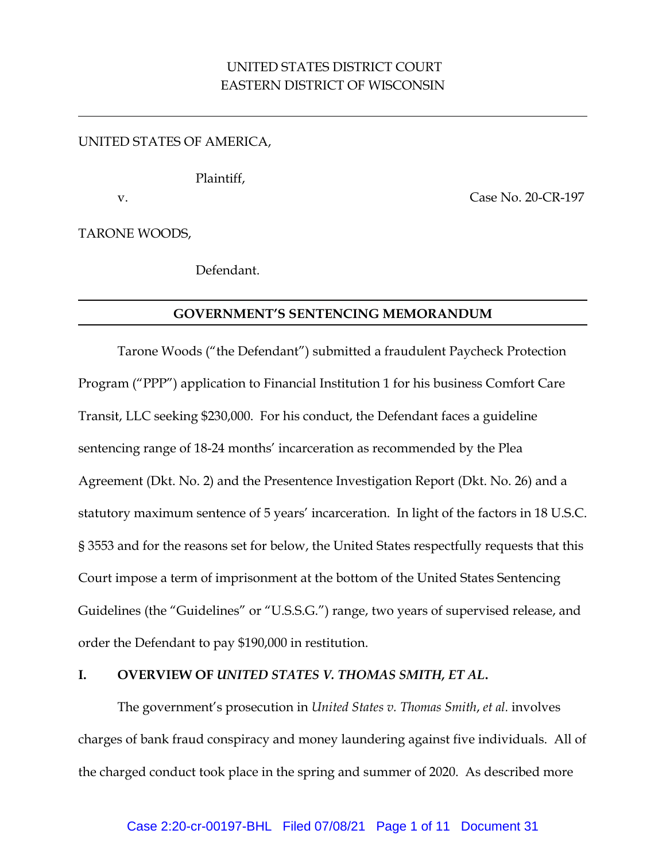# UNITED STATES DISTRICT COURT EASTERN DISTRICT OF WISCONSIN

### UNITED STATES OF AMERICA,

Plaintiff,

v. Case No. 20-CR-197

TARONE WOODS,

Defendant.

### **GOVERNMENT'S SENTENCING MEMORANDUM**

Tarone Woods ("the Defendant") submitted a fraudulent Paycheck Protection Program ("PPP") application to Financial Institution 1 for his business Comfort Care Transit, LLC seeking \$230,000. For his conduct, the Defendant faces a guideline sentencing range of 18-24 months' incarceration as recommended by the Plea Agreement (Dkt. No. 2) and the Presentence Investigation Report (Dkt. No. 26) and a statutory maximum sentence of 5 years' incarceration. In light of the factors in 18 U.S.C. § 3553 and for the reasons set for below, the United States respectfully requests that this Court impose a term of imprisonment at the bottom of the United States Sentencing Guidelines (the "Guidelines" or "U.S.S.G.") range, two years of supervised release, and order the Defendant to pay \$190,000 in restitution.

### **I. OVERVIEW OF** *UNITED STATES V. THOMAS SMITH, ET AL***.**

The government's prosecution in *United States v. Thomas Smith*, *et al.* involves charges of bank fraud conspiracy and money laundering against five individuals. All of the charged conduct took place in the spring and summer of 2020. As described more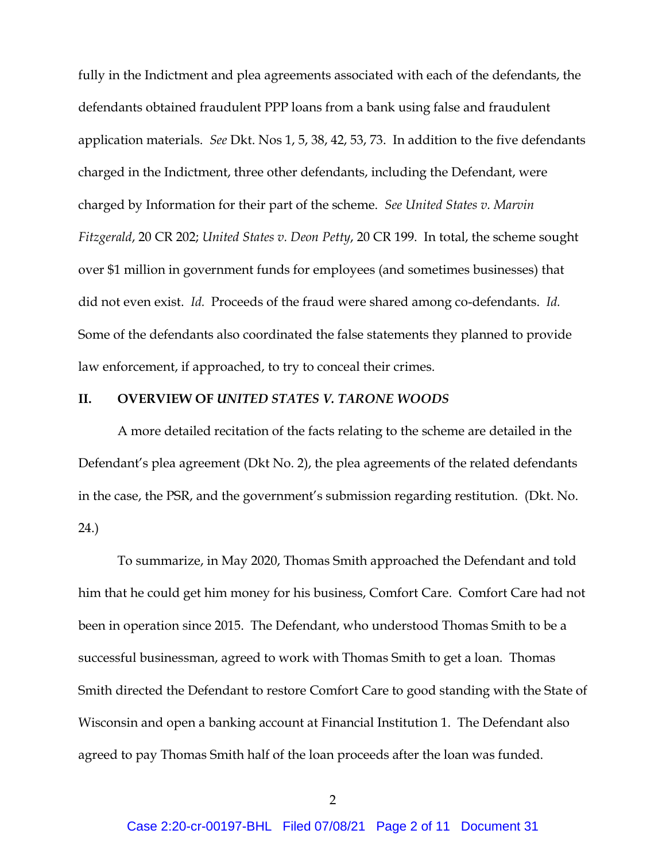fully in the Indictment and plea agreements associated with each of the defendants, the defendants obtained fraudulent PPP loans from a bank using false and fraudulent application materials. *See* Dkt. Nos 1, 5, 38, 42, 53, 73. In addition to the five defendants charged in the Indictment, three other defendants, including the Defendant, were charged by Information for their part of the scheme. *See United States v. Marvin Fitzgerald*, 20 CR 202; *United States v. Deon Petty*, 20 CR 199. In total, the scheme sought over \$1 million in government funds for employees (and sometimes businesses) that did not even exist. *Id.* Proceeds of the fraud were shared among co-defendants. *Id.* Some of the defendants also coordinated the false statements they planned to provide law enforcement, if approached, to try to conceal their crimes.

#### **II. OVERVIEW OF** *UNITED STATES V. TARONE WOODS*

A more detailed recitation of the facts relating to the scheme are detailed in the Defendant's plea agreement (Dkt No. 2), the plea agreements of the related defendants in the case, the PSR, and the government's submission regarding restitution. (Dkt. No. 24.)

To summarize, in May 2020, Thomas Smith approached the Defendant and told him that he could get him money for his business, Comfort Care. Comfort Care had not been in operation since 2015. The Defendant, who understood Thomas Smith to be a successful businessman, agreed to work with Thomas Smith to get a loan. Thomas Smith directed the Defendant to restore Comfort Care to good standing with the State of Wisconsin and open a banking account at Financial Institution 1. The Defendant also agreed to pay Thomas Smith half of the loan proceeds after the loan was funded.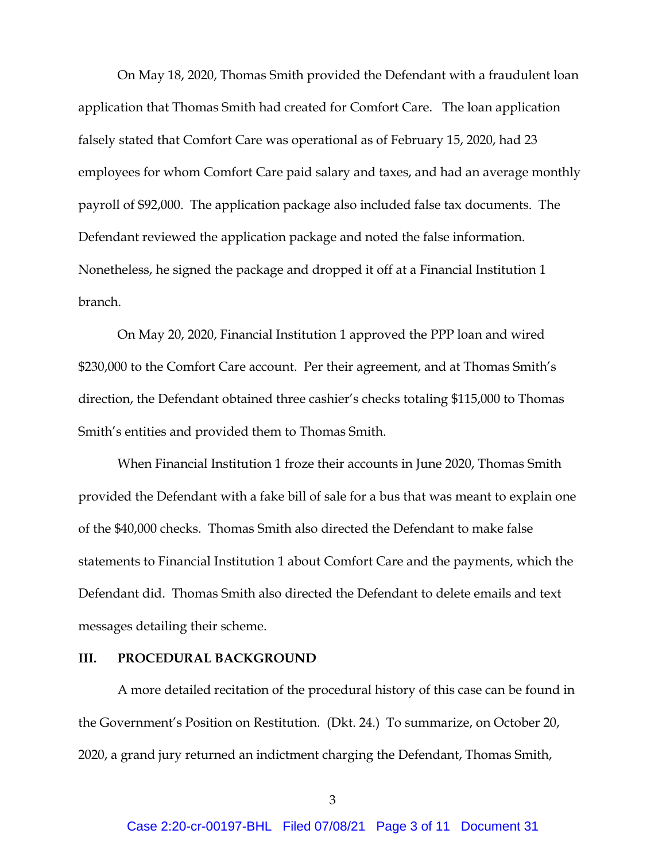On May 18, 2020, Thomas Smith provided the Defendant with a fraudulent loan application that Thomas Smith had created for Comfort Care. The loan application falsely stated that Comfort Care was operational as of February 15, 2020, had 23 employees for whom Comfort Care paid salary and taxes, and had an average monthly payroll of \$92,000. The application package also included false tax documents. The Defendant reviewed the application package and noted the false information. Nonetheless, he signed the package and dropped it off at a Financial Institution 1 branch.

On May 20, 2020, Financial Institution 1 approved the PPP loan and wired \$230,000 to the Comfort Care account. Per their agreement, and at Thomas Smith's direction, the Defendant obtained three cashier's checks totaling \$115,000 to Thomas Smith's entities and provided them to Thomas Smith.

When Financial Institution 1 froze their accounts in June 2020, Thomas Smith provided the Defendant with a fake bill of sale for a bus that was meant to explain one of the \$40,000 checks. Thomas Smith also directed the Defendant to make false statements to Financial Institution 1 about Comfort Care and the payments, which the Defendant did. Thomas Smith also directed the Defendant to delete emails and text messages detailing their scheme.

### **III. PROCEDURAL BACKGROUND**

A more detailed recitation of the procedural history of this case can be found in the Government's Position on Restitution. (Dkt. 24.) To summarize, on October 20, 2020, a grand jury returned an indictment charging the Defendant, Thomas Smith,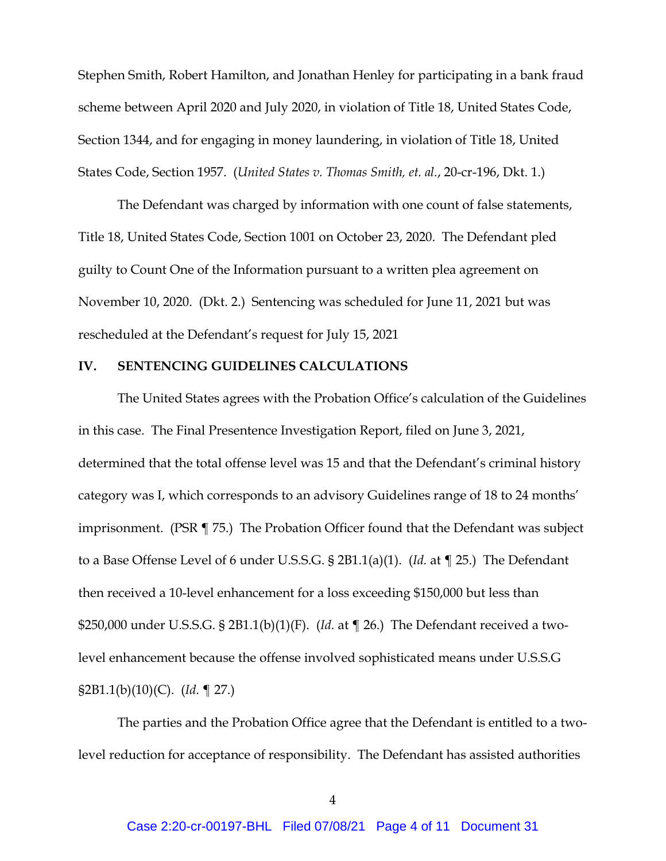Stephen Smith, Robert Hamilton, and Jonathan Henley for participating in a bank fraud scheme between April 2020 and July 2020, in violation of Title 18, United States Code, Section 1344, and for engaging in money laundering, in violation of Title 18, United States Code, Section 1957. (*United States v. Thomas Smith, et. al.*, 20-cr-196, Dkt. 1.)

The Defendant was charged by information with one count of false statements, Title 18, United States Code, Section 1001 on October 23, 2020. The Defendant pled guilty to Count One of the Information pursuant to a written plea agreement on November 10, 2020. (Dkt. 2.) Sentencing was scheduled for June 11, 2021 but was rescheduled at the Defendant's request for July 15, 2021

#### **IV. SENTENCING GUIDELINES CALCULATIONS**

The United States agrees with the Probation Office's calculation of the Guidelines in this case. The Final Presentence Investigation Report, filed on June 3, 2021, determined that the total offense level was 15 and that the Defendant's criminal history category was I, which corresponds to an advisory Guidelines range of 18 to 24 months' imprisonment. (PSR ¶ 75.) The Probation Officer found that the Defendant was subject to a Base Offense Level of 6 under U.S.S.G. § 2B1.1(a)(1). (*Id.* at ¶ 25.) The Defendant then received a 10-level enhancement for a loss exceeding \$150,000 but less than \$250,000 under U.S.S.G. § 2B1.1(b)(1)(F). (*Id.* at ¶ 26.) The Defendant received a twolevel enhancement because the offense involved sophisticated means under U.S.S.G §2B1.1(b)(10)(C). (*Id.* ¶ 27.)

The parties and the Probation Office agree that the Defendant is entitled to a twolevel reduction for acceptance of responsibility. The Defendant has assisted authorities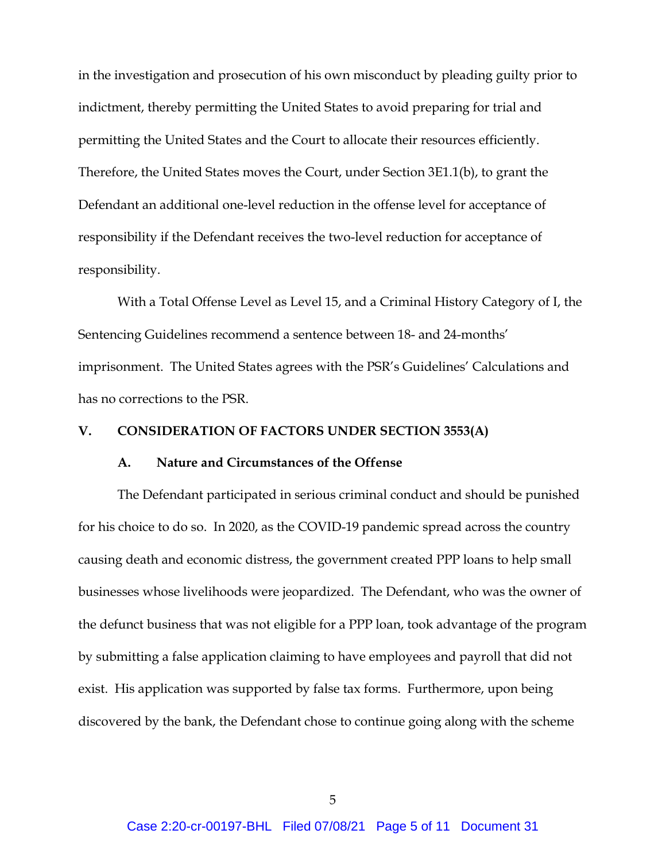in the investigation and prosecution of his own misconduct by pleading guilty prior to indictment, thereby permitting the United States to avoid preparing for trial and permitting the United States and the Court to allocate their resources efficiently. Therefore, the United States moves the Court, under Section 3E1.1(b), to grant the Defendant an additional one-level reduction in the offense level for acceptance of responsibility if the Defendant receives the two-level reduction for acceptance of responsibility.

With a Total Offense Level as Level 15, and a Criminal History Category of I, the Sentencing Guidelines recommend a sentence between 18- and 24-months' imprisonment. The United States agrees with the PSR's Guidelines' Calculations and has no corrections to the PSR.

### **V. CONSIDERATION OF FACTORS UNDER SECTION 3553(A)**

### **A. Nature and Circumstances of the Offense**

The Defendant participated in serious criminal conduct and should be punished for his choice to do so. In 2020, as the COVID-19 pandemic spread across the country causing death and economic distress, the government created PPP loans to help small businesses whose livelihoods were jeopardized. The Defendant, who was the owner of the defunct business that was not eligible for a PPP loan, took advantage of the program by submitting a false application claiming to have employees and payroll that did not exist. His application was supported by false tax forms. Furthermore, upon being discovered by the bank, the Defendant chose to continue going along with the scheme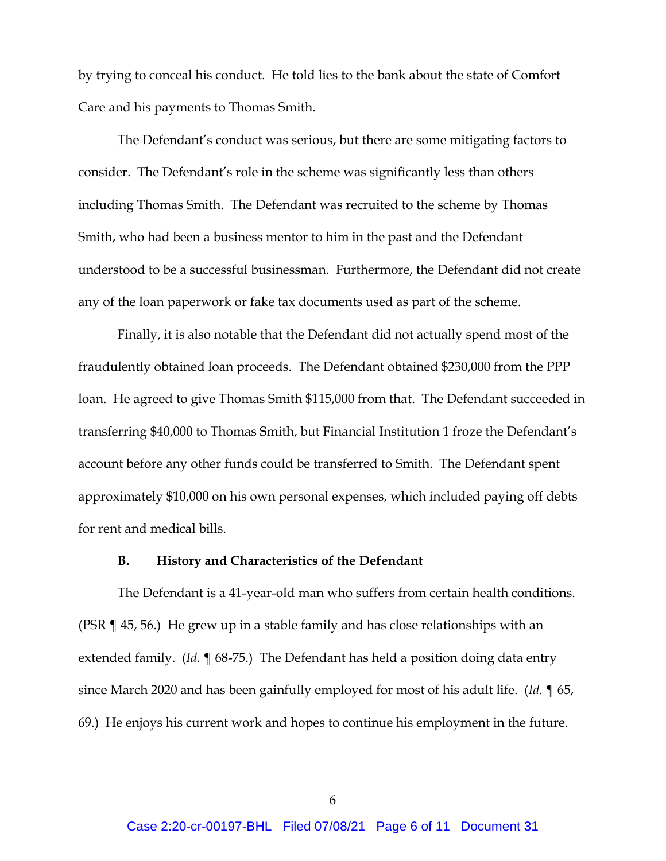by trying to conceal his conduct. He told lies to the bank about the state of Comfort Care and his payments to Thomas Smith.

The Defendant's conduct was serious, but there are some mitigating factors to consider. The Defendant's role in the scheme was significantly less than others including Thomas Smith. The Defendant was recruited to the scheme by Thomas Smith, who had been a business mentor to him in the past and the Defendant understood to be a successful businessman. Furthermore, the Defendant did not create any of the loan paperwork or fake tax documents used as part of the scheme.

Finally, it is also notable that the Defendant did not actually spend most of the fraudulently obtained loan proceeds. The Defendant obtained \$230,000 from the PPP loan. He agreed to give Thomas Smith \$115,000 from that. The Defendant succeeded in transferring \$40,000 to Thomas Smith, but Financial Institution 1 froze the Defendant's account before any other funds could be transferred to Smith. The Defendant spent approximately \$10,000 on his own personal expenses, which included paying off debts for rent and medical bills.

### **B. History and Characteristics of the Defendant**

The Defendant is a 41-year-old man who suffers from certain health conditions. (PSR ¶ 45, 56.) He grew up in a stable family and has close relationships with an extended family. (*Id.* ¶ 68-75.) The Defendant has held a position doing data entry since March 2020 and has been gainfully employed for most of his adult life. (*Id.* ¶ 65, 69.) He enjoys his current work and hopes to continue his employment in the future.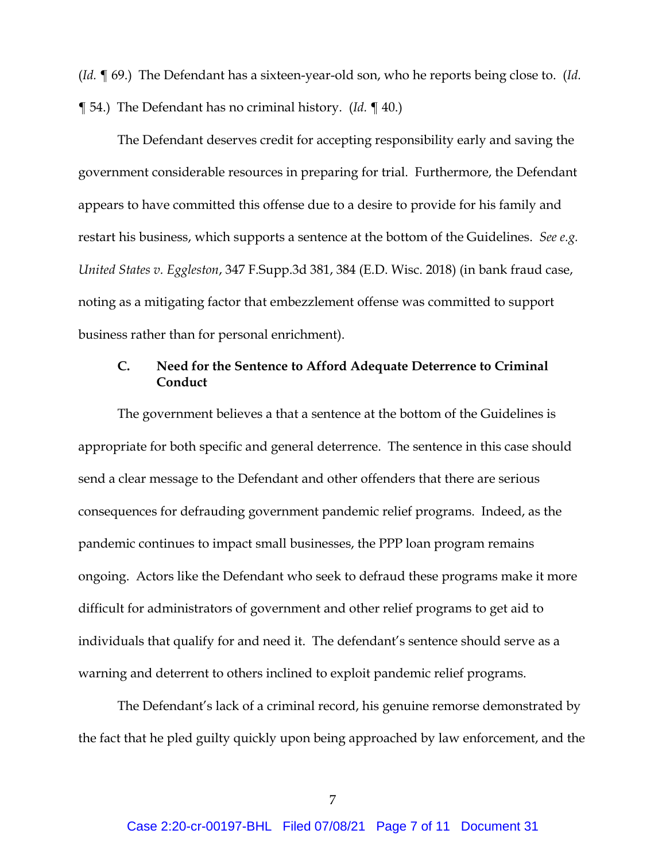(*Id.* ¶ 69.) The Defendant has a sixteen-year-old son, who he reports being close to. (*Id.* ¶ 54.) The Defendant has no criminal history. (*Id.* ¶ 40.)

The Defendant deserves credit for accepting responsibility early and saving the government considerable resources in preparing for trial. Furthermore, the Defendant appears to have committed this offense due to a desire to provide for his family and restart his business, which supports a sentence at the bottom of the Guidelines. *See e.g. United States v. Eggleston*, 347 F.Supp.3d 381, 384 (E.D. Wisc. 2018) (in bank fraud case, noting as a mitigating factor that embezzlement offense was committed to support business rather than for personal enrichment).

## **C. Need for the Sentence to Afford Adequate Deterrence to Criminal Conduct**

The government believes a that a sentence at the bottom of the Guidelines is appropriate for both specific and general deterrence. The sentence in this case should send a clear message to the Defendant and other offenders that there are serious consequences for defrauding government pandemic relief programs. Indeed, as the pandemic continues to impact small businesses, the PPP loan program remains ongoing. Actors like the Defendant who seek to defraud these programs make it more difficult for administrators of government and other relief programs to get aid to individuals that qualify for and need it. The defendant's sentence should serve as a warning and deterrent to others inclined to exploit pandemic relief programs.

The Defendant's lack of a criminal record, his genuine remorse demonstrated by the fact that he pled guilty quickly upon being approached by law enforcement, and the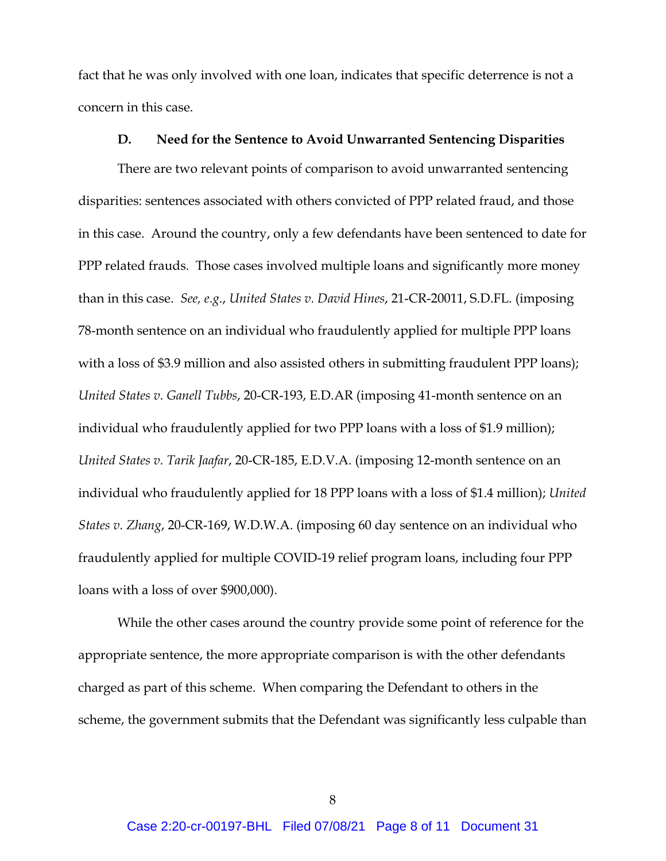fact that he was only involved with one loan, indicates that specific deterrence is not a concern in this case.

#### **D. Need for the Sentence to Avoid Unwarranted Sentencing Disparities**

There are two relevant points of comparison to avoid unwarranted sentencing disparities: sentences associated with others convicted of PPP related fraud, and those in this case. Around the country, only a few defendants have been sentenced to date for PPP related frauds. Those cases involved multiple loans and significantly more money than in this case. *See, e.g.*, *United States v. David Hines*, 21-CR-20011, S.D.FL. (imposing 78-month sentence on an individual who fraudulently applied for multiple PPP loans with a loss of \$3.9 million and also assisted others in submitting fraudulent PPP loans); *United States v. Ganell Tubbs*, 20-CR-193, E.D.AR (imposing 41-month sentence on an individual who fraudulently applied for two PPP loans with a loss of \$1.9 million); *United States v. Tarik Jaafar*, 20-CR-185, E.D.V.A. (imposing 12-month sentence on an individual who fraudulently applied for 18 PPP loans with a loss of \$1.4 million); *United States v. Zhang*, 20-CR-169, W.D.W.A. (imposing 60 day sentence on an individual who fraudulently applied for multiple COVID-19 relief program loans, including four PPP loans with a loss of over \$900,000).

While the other cases around the country provide some point of reference for the appropriate sentence, the more appropriate comparison is with the other defendants charged as part of this scheme. When comparing the Defendant to others in the scheme, the government submits that the Defendant was significantly less culpable than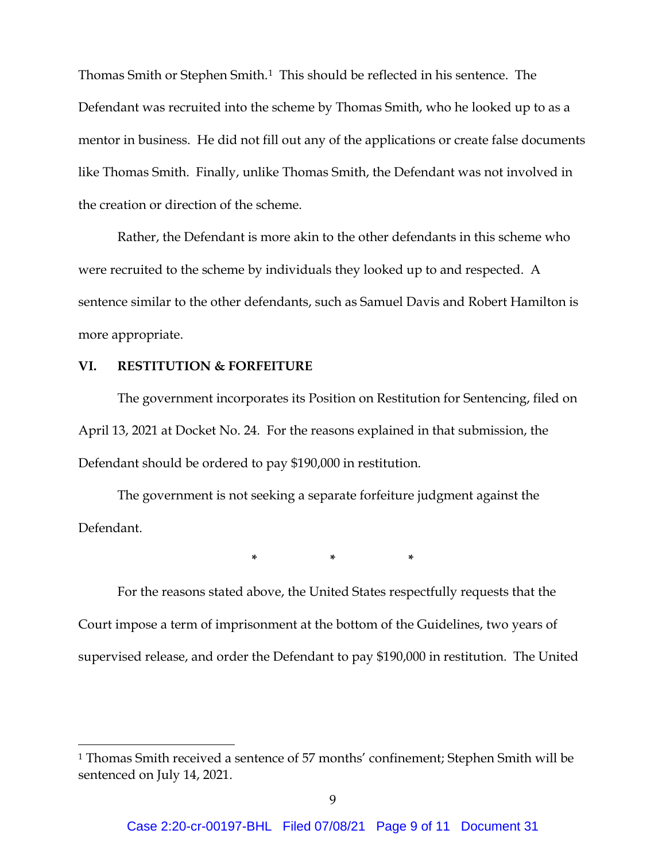Thomas Smith or Stephen Smith.<sup>1</sup> This should be reflected in his sentence. The Defendant was recruited into the scheme by Thomas Smith, who he looked up to as a mentor in business. He did not fill out any of the applications or create false documents like Thomas Smith. Finally, unlike Thomas Smith, the Defendant was not involved in the creation or direction of the scheme.

Rather, the Defendant is more akin to the other defendants in this scheme who were recruited to the scheme by individuals they looked up to and respected. A sentence similar to the other defendants, such as Samuel Davis and Robert Hamilton is more appropriate.

### **VI. RESTITUTION & FORFEITURE**

The government incorporates its Position on Restitution for Sentencing, filed on April 13, 2021 at Docket No. 24. For the reasons explained in that submission, the Defendant should be ordered to pay \$190,000 in restitution.

The government is not seeking a separate forfeiture judgment against the Defendant.

**\* \* \***

For the reasons stated above, the United States respectfully requests that the Court impose a term of imprisonment at the bottom of the Guidelines, two years of supervised release, and order the Defendant to pay \$190,000 in restitution. The United

<span id="page-8-0"></span><sup>1</sup> Thomas Smith received a sentence of 57 months' confinement; Stephen Smith will be sentenced on July 14, 2021.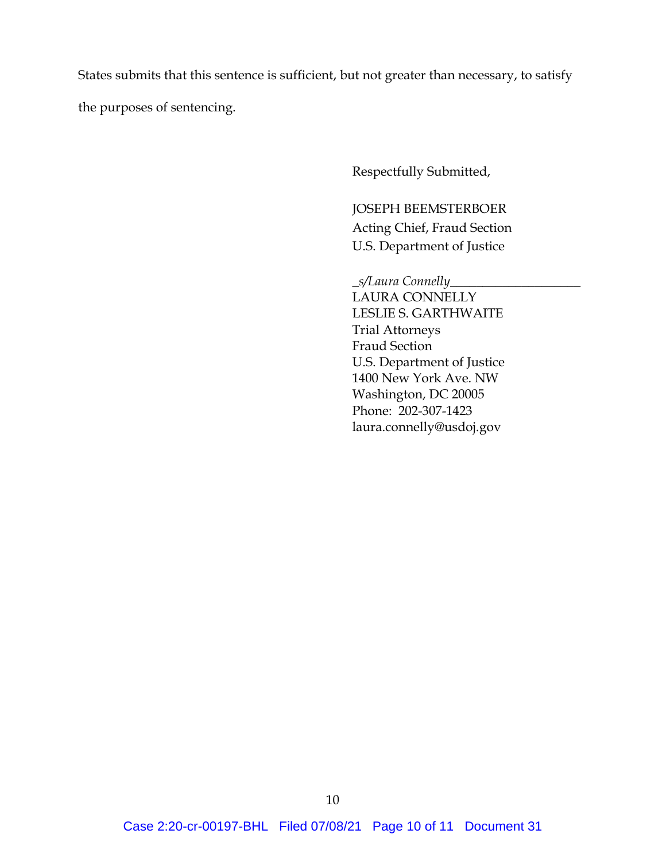States submits that this sentence is sufficient, but not greater than necessary, to satisfy

the purposes of sentencing.

Respectfully Submitted,

JOSEPH BEEMSTERBOER Acting Chief, Fraud Section U.S. Department of Justice

\_*s/Laura Connelly*\_\_\_\_\_\_\_\_\_\_\_\_\_\_\_\_\_\_\_\_ LAURA CONNELLY LESLIE S. GARTHWAITE Trial Attorneys Fraud Section U.S. Department of Justice 1400 New York Ave. NW Washington, DC 20005 Phone: 202-307-1423 laura.connelly@usdoj.gov